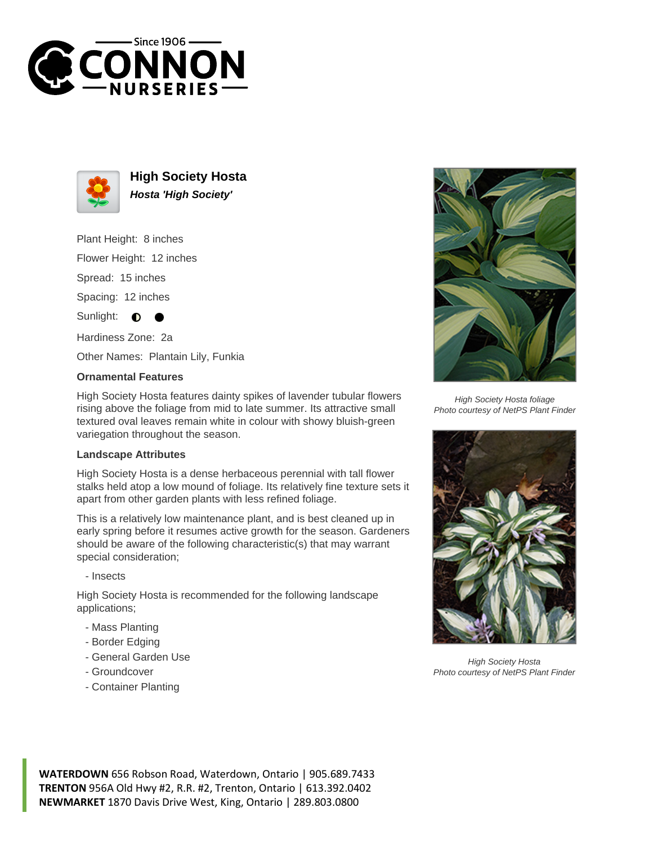



**High Society Hosta Hosta 'High Society'**

Plant Height: 8 inches

Flower Height: 12 inches

Spread: 15 inches

Spacing: 12 inches

Sunlight:  $\bullet$ 

Hardiness Zone: 2a

Other Names: Plantain Lily, Funkia

## **Ornamental Features**

High Society Hosta features dainty spikes of lavender tubular flowers rising above the foliage from mid to late summer. Its attractive small textured oval leaves remain white in colour with showy bluish-green variegation throughout the season.

## **Landscape Attributes**

High Society Hosta is a dense herbaceous perennial with tall flower stalks held atop a low mound of foliage. Its relatively fine texture sets it apart from other garden plants with less refined foliage.

This is a relatively low maintenance plant, and is best cleaned up in early spring before it resumes active growth for the season. Gardeners should be aware of the following characteristic(s) that may warrant special consideration;

- Insects

High Society Hosta is recommended for the following landscape applications;

- Mass Planting
- Border Edging
- General Garden Use
- Groundcover
- Container Planting



High Society Hosta foliage Photo courtesy of NetPS Plant Finder



High Society Hosta Photo courtesy of NetPS Plant Finder

**WATERDOWN** 656 Robson Road, Waterdown, Ontario | 905.689.7433 **TRENTON** 956A Old Hwy #2, R.R. #2, Trenton, Ontario | 613.392.0402 **NEWMARKET** 1870 Davis Drive West, King, Ontario | 289.803.0800